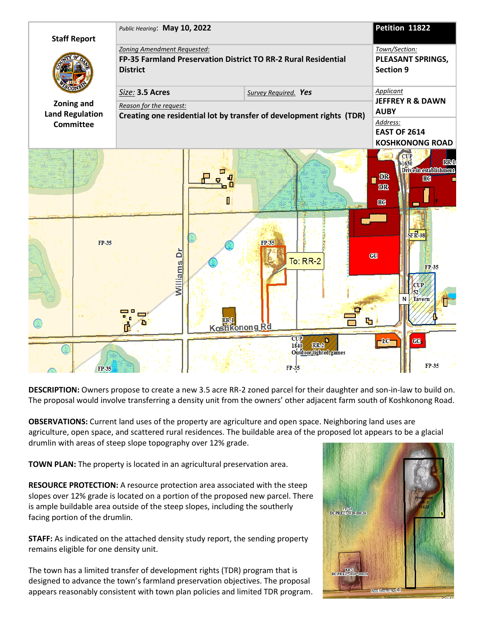

**DESCRIPTION:** Owners propose to create a new 3.5 acre RR-2 zoned parcel for their daughter and son-in-law to build on. The proposal would involve transferring a density unit from the owners' other adjacent farm south of Koshkonong Road.

**OBSERVATIONS:** Current land uses of the property are agriculture and open space. Neighboring land uses are agriculture, open space, and scattered rural residences. The buildable area of the proposed lot appears to be a glacial drumlin with areas of steep slope topography over 12% grade.

**TOWN PLAN:** The property is located in an agricultural preservation area.

**RESOURCE PROTECTION:** A resource protection area associated with the steep slopes over 12% grade is located on a portion of the proposed new parcel. There is ample buildable area outside of the steep slopes, including the southerly facing portion of the drumlin.

**STAFF:** As indicated on the attached density study report, the sending property remains eligible for one density unit.

The town has a limited transfer of development rights (TDR) program that is designed to advance the town's farmland preservation objectives. The proposal appears reasonably consistent with town plan policies and limited TDR program.